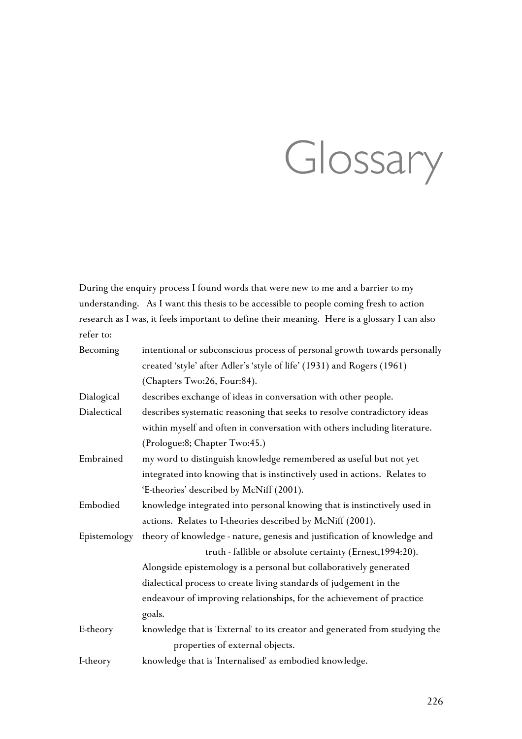# Glossary

During the enquiry process I found words that were new to me and a barrier to my understanding. As I want this thesis to be accessible to people coming fresh to action research as I was, it feels important to define their meaning. Here is a glossary I can also refer to:

| Becoming     | intentional or subconscious process of personal growth towards personally   |
|--------------|-----------------------------------------------------------------------------|
|              | created 'style' after Adler's 'style of life' (1931) and Rogers (1961)      |
|              | (Chapters Two:26, Four:84).                                                 |
| Dialogical   | describes exchange of ideas in conversation with other people.              |
| Dialectical  | describes systematic reasoning that seeks to resolve contradictory ideas    |
|              | within myself and often in conversation with others including literature.   |
|              | (Prologue:8; Chapter Two:45.)                                               |
| Embrained    | my word to distinguish knowledge remembered as useful but not yet           |
|              | integrated into knowing that is instinctively used in actions. Relates to   |
|              | 'E-theories' described by McNiff (2001).                                    |
| Embodied     | knowledge integrated into personal knowing that is instinctively used in    |
|              | actions. Relates to I-theories described by McNiff (2001).                  |
| Epistemology | theory of knowledge - nature, genesis and justification of knowledge and    |
|              | truth - fallible or absolute certainty (Ernest, 1994:20).                   |
|              | Alongside epistemology is a personal but collaboratively generated          |
|              | dialectical process to create living standards of judgement in the          |
|              | endeavour of improving relationships, for the achievement of practice       |
|              | goals.                                                                      |
| E-theory     | knowledge that is 'External' to its creator and generated from studying the |
|              | properties of external objects.                                             |
| I-theory     | knowledge that is 'Internalised' as embodied knowledge.                     |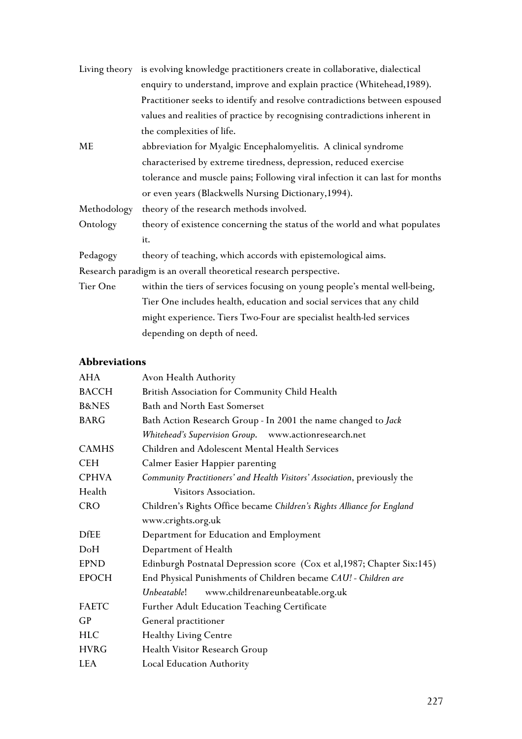|                                                                   | Living theory is evolving knowledge practitioners create in collaborative, dialectical |  |  |
|-------------------------------------------------------------------|----------------------------------------------------------------------------------------|--|--|
|                                                                   | enquiry to understand, improve and explain practice (Whitehead, 1989).                 |  |  |
|                                                                   | Practitioner seeks to identify and resolve contradictions between espoused             |  |  |
|                                                                   | values and realities of practice by recognising contradictions inherent in             |  |  |
|                                                                   | the complexities of life.                                                              |  |  |
| ME                                                                | abbreviation for Myalgic Encephalomyelitis. A clinical syndrome                        |  |  |
|                                                                   | characterised by extreme tiredness, depression, reduced exercise                       |  |  |
|                                                                   | tolerance and muscle pains; Following viral infection it can last for months           |  |  |
|                                                                   | or even years (Blackwells Nursing Dictionary, 1994).                                   |  |  |
| Methodology                                                       | theory of the research methods involved.                                               |  |  |
| Ontology                                                          | theory of existence concerning the status of the world and what populates              |  |  |
|                                                                   | it.                                                                                    |  |  |
| Pedagogy                                                          | theory of teaching, which accords with epistemological aims.                           |  |  |
| Research paradigm is an overall theoretical research perspective. |                                                                                        |  |  |
| Tier One                                                          | within the tiers of services focusing on young people's mental well-being,             |  |  |
|                                                                   | Tier One includes health, education and social services that any child                 |  |  |
|                                                                   | might experience. Tiers Two-Four are specialist health-led services                    |  |  |

depending on depth of need.

# **Abbreviations**

| <b>AHA</b>       | Avon Health Authority                                                     |  |
|------------------|---------------------------------------------------------------------------|--|
| <b>BACCH</b>     | British Association for Community Child Health                            |  |
| <b>B&amp;NES</b> | Bath and North East Somerset                                              |  |
| <b>BARG</b>      | Bath Action Research Group - In 2001 the name changed to Jack             |  |
|                  | Whitehead's Supervision Group. www.actionresearch.net                     |  |
| <b>CAMHS</b>     | Children and Adolescent Mental Health Services                            |  |
| <b>CEH</b>       | Calmer Easier Happier parenting                                           |  |
| <b>CPHVA</b>     | Community Practitioners' and Health Visitors' Association, previously the |  |
| Health           | Visitors Association.                                                     |  |
| <b>CRO</b>       | Children's Rights Office became Children's Rights Alliance for England    |  |
|                  | www.crights.org.uk                                                        |  |
| <b>DfEE</b>      | Department for Education and Employment                                   |  |
| DoH              | Department of Health                                                      |  |
| <b>EPND</b>      | Edinburgh Postnatal Depression score (Cox et al, 1987; Chapter Six:145)   |  |
| <b>EPOCH</b>     | End Physical Punishments of Children became CAU! - Children are           |  |
|                  | Unbeatable!<br>www.childrenareunbeatable.org.uk                           |  |
| <b>FAETC</b>     | Further Adult Education Teaching Certificate                              |  |
| GP               | General practitioner                                                      |  |
| <b>HLC</b>       | <b>Healthy Living Centre</b>                                              |  |
| <b>HVRG</b>      | Health Visitor Research Group                                             |  |
| <b>LEA</b>       | Local Education Authority                                                 |  |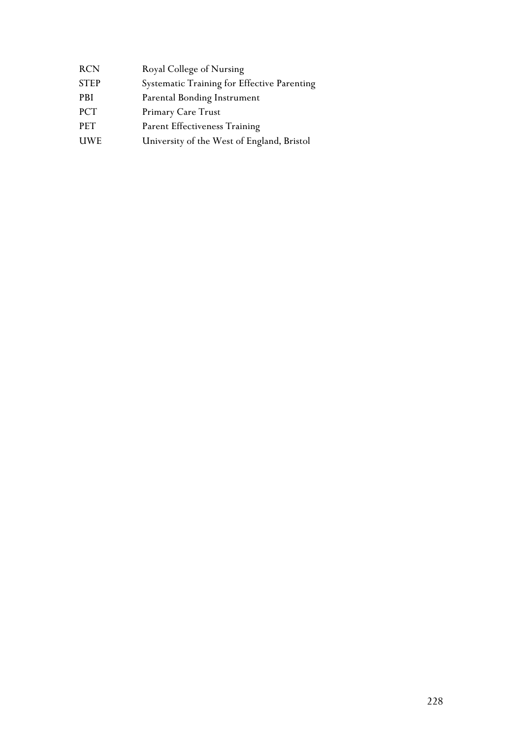| <b>RCN</b>  | Royal College of Nursing                    |
|-------------|---------------------------------------------|
| <b>STEP</b> | Systematic Training for Effective Parenting |
| PBI         | Parental Bonding Instrument                 |
| <b>PCT</b>  | Primary Care Trust                          |
| <b>PET</b>  | Parent Effectiveness Training               |
| <b>UWE</b>  | University of the West of England, Bristol  |
|             |                                             |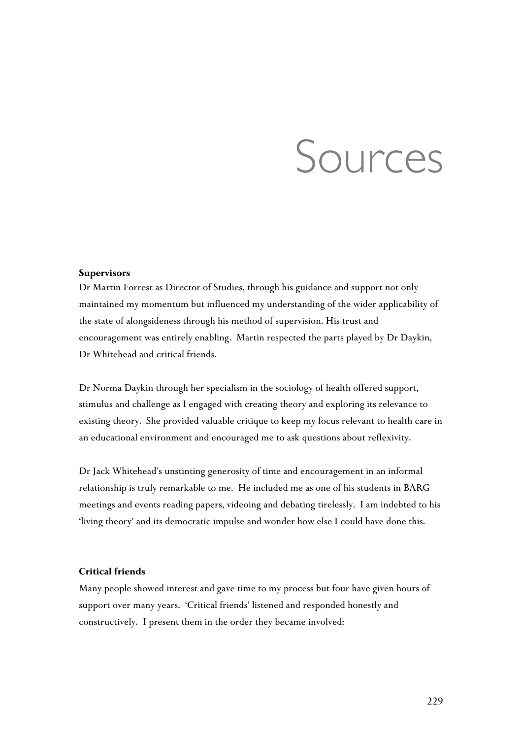# Sources

#### **Supervisors**

Dr Martin Forrest as Director of Studies, through his guidance and support not only maintained my momentum but influenced my understanding of the wider applicability of the state of alongsideness through his method of supervision. His trust and encouragement was entirely enabling. Martin respected the parts played by Dr Daykin, Dr Whitehead and critical friends.

Dr Norma Daykin through her specialism in the sociology of health offered support, stimulus and challenge as I engaged with creating theory and exploring its relevance to existing theory. She provided valuable critique to keep my focus relevant to health care in an educational environment and encouraged me to ask questions about reflexivity.

Dr Jack Whitehead's unstinting generosity of time and encouragement in an informal relationship is truly remarkable to me. He included me as one of his students in BARG meetings and events reading papers, videoing and debating tirelessly. I am indebted to his 'living theory' and its democratic impulse and wonder how else I could have done this.

#### **Critical friends**

Many people showed interest and gave time to my process but four have given hours of support over many years. 'Critical friends' listened and responded honestly and constructively. I present them in the order they became involved: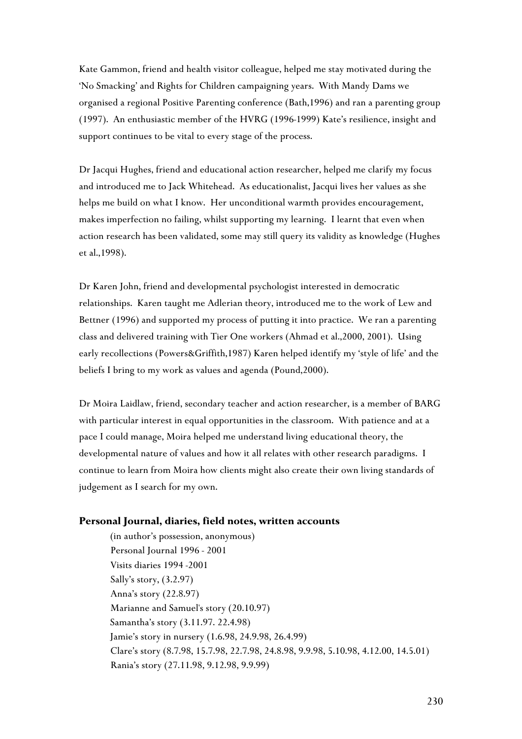Kate Gammon, friend and health visitor colleague, helped me stay motivated during the 'No Smacking' and Rights for Children campaigning years. With Mandy Dams we organised a regional Positive Parenting conference (Bath,1996) and ran a parenting group (1997). An enthusiastic member of the HVRG (1996-1999) Kate's resilience, insight and support continues to be vital to every stage of the process.

Dr Jacqui Hughes, friend and educational action researcher, helped me clarify my focus and introduced me to Jack Whitehead. As educationalist, Jacqui lives her values as she helps me build on what I know. Her unconditional warmth provides encouragement, makes imperfection no failing, whilst supporting my learning. I learnt that even when action research has been validated, some may still query its validity as knowledge (Hughes et al.,1998).

Dr Karen John, friend and developmental psychologist interested in democratic relationships. Karen taught me Adlerian theory, introduced me to the work of Lew and Bettner (1996) and supported my process of putting it into practice. We ran a parenting class and delivered training with Tier One workers (Ahmad et al.,2000, 2001). Using early recollections (Powers&Griffith,1987) Karen helped identify my 'style of life' and the beliefs I bring to my work as values and agenda (Pound,2000).

Dr Moira Laidlaw, friend, secondary teacher and action researcher, is a member of BARG with particular interest in equal opportunities in the classroom. With patience and at a pace I could manage, Moira helped me understand living educational theory, the developmental nature of values and how it all relates with other research paradigms. I continue to learn from Moira how clients might also create their own living standards of judgement as I search for my own.

#### **Personal Journal, diaries, field notes, written accounts**

(in author's possession, anonymous) Personal Journal 1996 - 2001 Visits diaries 1994 -2001 Sally's story, (3.2.97) Anna's story (22.8.97) Marianne and Samuel's story (20.10.97) Samantha's story (3.11.97. 22.4.98) Jamie's story in nursery (1.6.98, 24.9.98, 26.4.99) Clare's story (8.7.98, 15.7.98, 22.7.98, 24.8.98, 9.9.98, 5.10.98, 4.12.00, 14.5.01) Rania's story (27.11.98, 9.12.98, 9.9.99)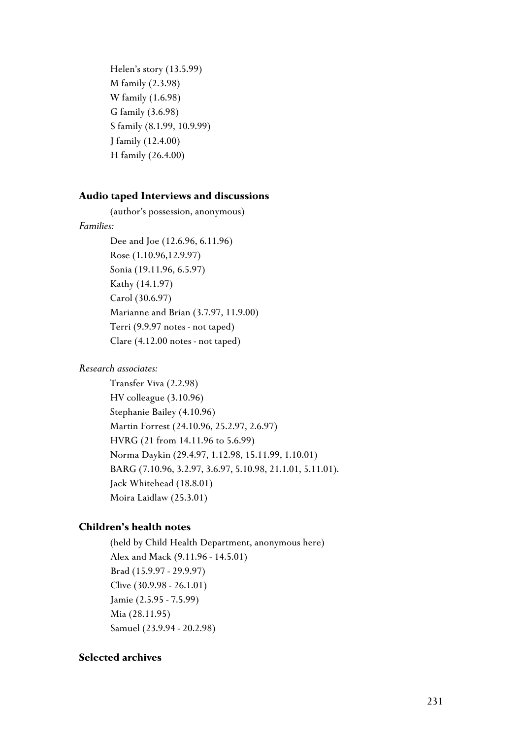Helen's story (13.5.99) M family (2.3.98) W family (1.6.98) G family (3.6.98) S family (8.1.99, 10.9.99) J family (12.4.00) H family (26.4.00)

#### **Audio taped Interviews and discussions**

(author's possession, anonymous)

#### *Families:*

Dee and Joe (12.6.96, 6.11.96) Rose (1.10.96,12.9.97) Sonia (19.11.96, 6.5.97) Kathy (14.1.97) Carol (30.6.97) Marianne and Brian (3.7.97, 11.9.00) Terri (9.9.97 notes - not taped) Clare (4.12.00 notes - not taped)

#### *Research associates:*

Transfer Viva (2.2.98) HV colleague (3.10.96) Stephanie Bailey (4.10.96) Martin Forrest (24.10.96, 25.2.97, 2.6.97) HVRG (21 from 14.11.96 to 5.6.99) Norma Daykin (29.4.97, 1.12.98, 15.11.99, 1.10.01) BARG (7.10.96, 3.2.97, 3.6.97, 5.10.98, 21.1.01, 5.11.01). Jack Whitehead (18.8.01) Moira Laidlaw (25.3.01)

#### **Children's health notes**

(held by Child Health Department, anonymous here) Alex and Mack (9.11.96 - 14.5.01) Brad (15.9.97 - 29.9.97) Clive (30.9.98 - 26.1.01) Jamie (2.5.95 - 7.5.99) Mia (28.11.95) Samuel (23.9.94 - 20.2.98)

## **Selected archives**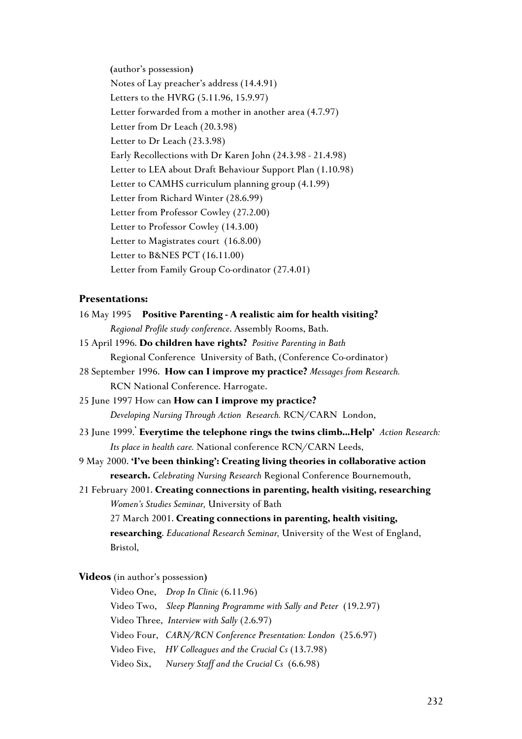**(**author's possession**)** Notes of Lay preacher's address (14.4.91) Letters to the HVRG (5.11.96, 15.9.97) Letter forwarded from a mother in another area (4.7.97) Letter from Dr Leach (20.3.98) Letter to Dr Leach (23.3.98) Early Recollections with Dr Karen John (24.3.98 - 21.4.98) Letter to LEA about Draft Behaviour Support Plan (1.10.98) Letter to CAMHS curriculum planning group (4.1.99) Letter from Richard Winter (28.6.99) Letter from Professor Cowley (27.2.00) Letter to Professor Cowley (14.3.00) Letter to Magistrates court (16.8.00) Letter to B&NES PCT (16.11.00) Letter from Family Group Co-ordinator (27.4.01)

## **Presentations:**

| 16 May 1995 Positive Parenting - A realistic aim for health visiting?              |
|------------------------------------------------------------------------------------|
| Regional Profile study conference. Assembly Rooms, Bath.                           |
| 15 April 1996. Do children have rights? Positive Parenting in Bath                 |
| Regional Conference University of Bath, (Conference Co-ordinator)                  |
| 28 September 1996. How can I improve my practice? Messages from Research.          |
| RCN National Conference. Harrogate.                                                |
| 25 June 1997 How can How can I improve my practice?                                |
| Developing Nursing Through Action Research. RCN/CARN London,                       |
| 23 June 1999. Everytime the telephone rings the twins climbHelp' Action Research:  |
| Its place in health care. National conference RCN/CARN Leeds,                      |
| 9 May 2000. 'I've been thinking': Creating living theories in collaborative action |
| research. Celebrating Nursing Research Regional Conference Bournemouth,            |
| 21 February 2001. Creating connections in parenting, health visiting, researching  |
| Women's Studies Seminar, University of Bath                                        |
| 27 March 2001. Creating connections in parenting, health visiting,                 |
| researching. Educational Research Seminar, University of the West of England,      |
| Bristol,                                                                           |
| Videos (in author's possession)                                                    |
| Video One, Drop In Clinic (6.11.96)                                                |
| Video Two, Sleep Planning Programme with Sally and Peter (19.2.97)                 |
| Video Three, Interview with Sally (2.6.97)                                         |
|                                                                                    |

Video Four, *CARN/RCN Conference Presentation: London* (25.6.97)

Video Five, *HV Colleagues and the Crucial Cs* (13.7.98)

Video Six, *Nursery Staff and the Crucial Cs* (6.6.98)